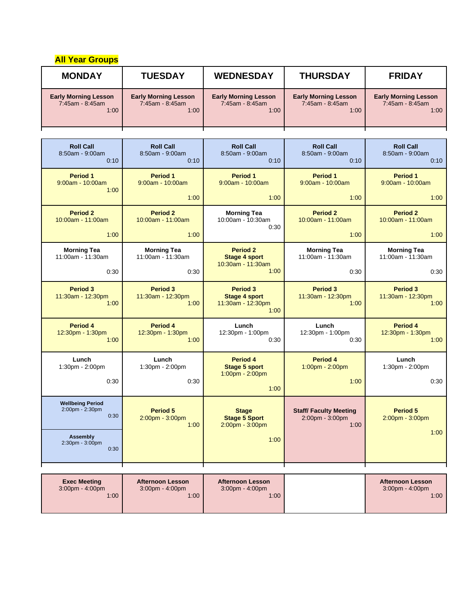| <b>All Year Groups</b>                                 |                                                        |                                                               |                                                         |                                                          |
|--------------------------------------------------------|--------------------------------------------------------|---------------------------------------------------------------|---------------------------------------------------------|----------------------------------------------------------|
| <b>MONDAY</b>                                          | <b>TUESDAY</b>                                         | <b>WEDNESDAY</b>                                              | <b>THURSDAY</b>                                         | <b>FRIDAY</b>                                            |
| <b>Early Morning Lesson</b><br>7:45am - 8:45am<br>1:00 | <b>Early Morning Lesson</b><br>7:45am - 8:45am<br>1:00 | <b>Early Morning Lesson</b><br>7:45am - 8:45am<br>1:00        | <b>Early Morning Lesson</b><br>7:45am - 8:45am<br>1:00  | <b>Early Morning Lesson</b><br>7:45am - 8:45am<br>1:00   |
|                                                        |                                                        |                                                               |                                                         |                                                          |
| <b>Roll Call</b><br>8:50am - 9:00am<br>0:10            | <b>Roll Call</b><br>8:50am - 9:00am<br>0:10            | <b>Roll Call</b><br>8:50am - 9:00am<br>0:10                   | <b>Roll Call</b><br>8:50am - 9:00am<br>0:10             | <b>Roll Call</b><br>8:50am - 9:00am<br>0:10              |
| <b>Period 1</b><br>9:00am - 10:00am<br>1:00            | Period 1<br>$9:00am - 10:00am$                         | <b>Period 1</b><br>$9:00am - 10:00am$                         | <b>Period 1</b><br>$9:00am - 10:00am$                   | <b>Period 1</b><br>$9:00am - 10:00am$                    |
|                                                        | 1:00                                                   | 1:00                                                          | 1:00                                                    | 1:00                                                     |
| <b>Period 2</b><br>$10:00am - 11:00am$                 | <b>Period 2</b><br>10:00am - 11:00am                   | <b>Morning Tea</b><br>10:00am - 10:30am<br>0:30               | <b>Period 2</b><br>10:00am - 11:00am                    | <b>Period 2</b><br>10:00am - 11:00am                     |
| 1:00                                                   | 1:00                                                   |                                                               | 1:00                                                    | 1:00                                                     |
| <b>Morning Tea</b><br>11:00am - 11:30am                | <b>Morning Tea</b><br>11:00am - 11:30am                | <b>Period 2</b><br><b>Stage 4 sport</b><br>10:30am - 11:30am  | <b>Morning Tea</b><br>11:00am - 11:30am                 | <b>Morning Tea</b><br>11:00am - 11:30am                  |
| 0:30                                                   | 0:30                                                   | 1:00                                                          | 0:30                                                    | 0:30                                                     |
| <b>Period 3</b><br>11:30am - 12:30pm<br>1:00           | <b>Period 3</b><br>11:30am - 12:30pm<br>1:00           | Period 3<br><b>Stage 4 sport</b><br>11:30am - 12:30pm<br>1:00 | Period 3<br>11:30am - 12:30pm<br>1:00                   | <b>Period 3</b><br>11:30am - 12:30pm<br>1:00             |
| Period 4<br>12:30pm - 1:30pm<br>1:00                   | Period 4<br>12:30pm - 1:30pm<br>1:00                   | Lunch<br>12:30pm - 1:00pm<br>0:30                             | Lunch<br>12:30pm - 1:00pm<br>0:30                       | Period 4<br>12:30pm - 1:30pm<br>1:00                     |
| Lunch<br>1:30pm - 2:00pm                               | Lunch<br>1:30pm - 2:00pm                               | Period 4<br><b>Stage 5 sport</b>                              | Period 4<br>$1:00$ pm - 2:00pm                          | Lunch<br>1:30pm - 2:00pm                                 |
| 0:30                                                   | 0:30                                                   | 1:00pm - 2:00pm<br>1:00                                       | 1:00                                                    | 0:30                                                     |
| <b>Wellbeing Period</b><br>2:00pm - 2:30pm<br>0:30     | Period 5<br>$2:00$ pm - $3:00$ pm<br>1:00              | <b>Stage</b><br><b>Stage 5 Sport</b><br>$2:00$ pm - $3:00$ pm | <b>Staff/Faculty Meeting</b><br>2:00pm - 3:00pm<br>1:00 | <b>Period 5</b><br>$2:00$ pm - $3:00$ pm                 |
| Assembly<br>2:30pm - 3:00pm<br>0:30                    |                                                        | 1:00                                                          |                                                         | 1:00                                                     |
|                                                        |                                                        |                                                               |                                                         |                                                          |
| <b>Exec Meeting</b><br>3:00pm - 4:00pm<br>1:00         | <b>Afternoon Lesson</b><br>3:00pm - 4:00pm<br>1:00     | <b>Afternoon Lesson</b><br>3:00pm - 4:00pm<br>1:00            |                                                         | <b>Afternoon Lesson</b><br>$3:00$ pm - $4:00$ pm<br>1:00 |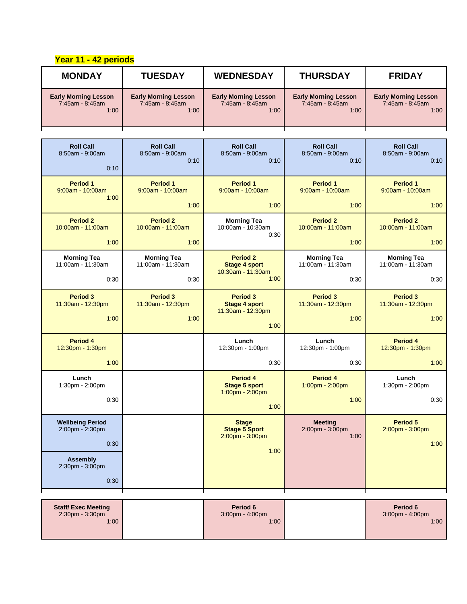## **Year 11 - 42 periods**

| <b>MONDAY</b>                                          | <b>TUESDAY</b>                                         | <b>WEDNESDAY</b>                                                     | <b>THURSDAY</b>                                        | <b>FRIDAY</b>                                          |
|--------------------------------------------------------|--------------------------------------------------------|----------------------------------------------------------------------|--------------------------------------------------------|--------------------------------------------------------|
| <b>Early Morning Lesson</b><br>7:45am - 8:45am<br>1:00 | <b>Early Morning Lesson</b><br>7:45am - 8:45am<br>1:00 | <b>Early Morning Lesson</b><br>7:45am - 8:45am<br>1:00               | <b>Early Morning Lesson</b><br>7:45am - 8:45am<br>1:00 | <b>Early Morning Lesson</b><br>7:45am - 8:45am<br>1:00 |
|                                                        |                                                        |                                                                      |                                                        |                                                        |
| <b>Roll Call</b><br>$8:50$ am - $9:00$ am<br>0:10      | <b>Roll Call</b><br>$8:50am - 9:00am$<br>0:10          | <b>Roll Call</b><br>8:50am - 9:00am<br>0:10                          | <b>Roll Call</b><br>8:50am - 9:00am<br>0:10            | <b>Roll Call</b><br>8:50am - 9:00am<br>0:10            |
| Period 1<br>$9:00am - 10:00am$<br>1:00                 | Period 1<br>9:00am - 10:00am                           | Period 1<br>9:00am - 10:00am                                         | Period 1<br>9:00am - 10:00am                           | Period 1<br>9:00am - 10:00am                           |
|                                                        | 1:00                                                   | 1:00                                                                 | 1:00                                                   | 1:00                                                   |
| <b>Period 2</b><br>10:00am - 11:00am<br>1:00           | <b>Period 2</b><br>10:00am - 11:00am<br>1:00           | <b>Morning Tea</b><br>10:00am - 10:30am<br>0:30                      | <b>Period 2</b><br>10:00am - 11:00am<br>1:00           | <b>Period 2</b><br>10:00am - 11:00am<br>1:00           |
|                                                        |                                                        |                                                                      |                                                        |                                                        |
| <b>Morning Tea</b><br>11:00am - 11:30am                | <b>Morning Tea</b><br>11:00am - 11:30am                | <b>Period 2</b><br><b>Stage 4 sport</b><br>10:30am - 11:30am         | <b>Morning Tea</b><br>11:00am - 11:30am                | <b>Morning Tea</b><br>11:00am - 11:30am                |
| 0:30                                                   | 0:30                                                   | 1:00                                                                 | 0:30                                                   | 0:30                                                   |
| <b>Period 3</b><br>11:30am - 12:30pm<br>1:00           | <b>Period 3</b><br>11:30am - 12:30pm<br>1:00           | <b>Period 3</b><br><b>Stage 4 sport</b><br>11:30am - 12:30pm<br>1:00 | <b>Period 3</b><br>11:30am - 12:30pm<br>1:00           | <b>Period 3</b><br>11:30am - 12:30pm<br>1:00           |
| Period 4<br>12:30pm - 1:30pm                           |                                                        | Lunch<br>12:30pm - 1:00pm                                            | Lunch<br>12:30pm - 1:00pm                              | Period 4<br>12:30pm - 1:30pm                           |
| 1:00                                                   |                                                        | 0:30                                                                 | 0:30                                                   | 1:00                                                   |
| Lunch<br>1:30pm - 2:00pm<br>0:30                       |                                                        | Period 4<br><b>Stage 5 sport</b><br>1:00pm - 2:00pm<br>1:00          | Period 4<br>1:00pm - 2:00pm<br>1:00                    | Lunch<br>1:30pm - 2:00pm<br>0:30                       |
| <b>Wellbeing Period</b><br>2:00pm - 2:30pm<br>0:30     |                                                        | <b>Stage</b><br><b>Stage 5 Sport</b><br>2:00pm - 3:00pm<br>1:00      | <b>Meeting</b><br>$2:00$ pm - $3:00$ pm<br>1:00        | <b>Period 5</b><br>2:00pm - 3:00pm<br>1:00             |
| <b>Assembly</b><br>2:30pm - 3:00pm<br>0:30             |                                                        |                                                                      |                                                        |                                                        |
|                                                        |                                                        |                                                                      |                                                        |                                                        |
|                                                        |                                                        |                                                                      |                                                        |                                                        |

| <b>Staff/Exec Meeting</b><br>$2:30pm - 3:30pm$ | Period 6<br>$3:00$ pm $-4:00$ pm | Period 6<br>$3:00 \text{pm} - 4:00 \text{pm}$ |
|------------------------------------------------|----------------------------------|-----------------------------------------------|
| 1:00                                           | 1:00                             | 1:00                                          |
|                                                |                                  |                                               |